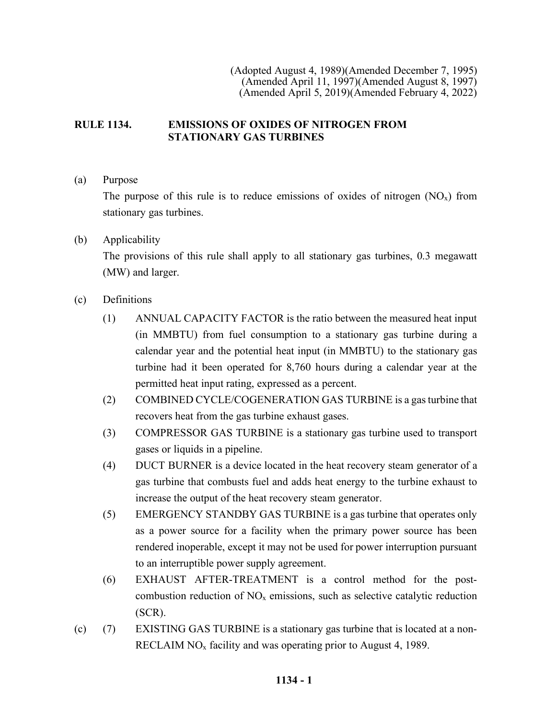(Adopted August 4, 1989)(Amended December 7, 1995) (Amended April 11, 1997)(Amended August 8, 1997) (Amended April 5, 2019)(Amended February 4, 2022)

## **RULE 1134. EMISSIONS OF OXIDES OF NITROGEN FROM STATIONARY GAS TURBINES**

(a) Purpose

The purpose of this rule is to reduce emissions of oxides of nitrogen  $(NO_x)$  from stationary gas turbines.

(b) Applicability

The provisions of this rule shall apply to all stationary gas turbines, 0.3 megawatt (MW) and larger.

- (c) Definitions
	- (1) ANNUAL CAPACITY FACTOR is the ratio between the measured heat input (in MMBTU) from fuel consumption to a stationary gas turbine during a calendar year and the potential heat input (in MMBTU) to the stationary gas turbine had it been operated for 8,760 hours during a calendar year at the permitted heat input rating, expressed as a percent.
	- (2) COMBINED CYCLE/COGENERATION GAS TURBINE is a gas turbine that recovers heat from the gas turbine exhaust gases.
	- (3) COMPRESSOR GAS TURBINE is a stationary gas turbine used to transport gases or liquids in a pipeline.
	- (4) DUCT BURNER is a device located in the heat recovery steam generator of a gas turbine that combusts fuel and adds heat energy to the turbine exhaust to increase the output of the heat recovery steam generator.
	- (5) EMERGENCY STANDBY GAS TURBINE is a gas turbine that operates only as a power source for a facility when the primary power source has been rendered inoperable, except it may not be used for power interruption pursuant to an interruptible power supply agreement.
	- (6) EXHAUST AFTER-TREATMENT is a control method for the postcombustion reduction of  $NO<sub>x</sub>$  emissions, such as selective catalytic reduction (SCR).
- (c) (7) EXISTING GAS TURBINE is a stationary gas turbine that is located at a non-RECLAIM  $NO<sub>x</sub>$  facility and was operating prior to August 4, 1989.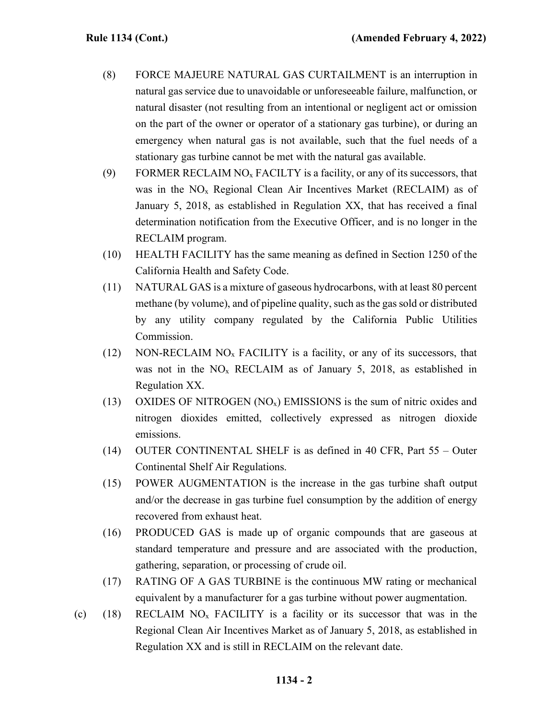- (8) FORCE MAJEURE NATURAL GAS CURTAILMENT is an interruption in natural gas service due to unavoidable or unforeseeable failure, malfunction, or natural disaster (not resulting from an intentional or negligent act or omission on the part of the owner or operator of a stationary gas turbine), or during an emergency when natural gas is not available, such that the fuel needs of a stationary gas turbine cannot be met with the natural gas available.
- (9) FORMER RECLAIM NO<sub>x</sub> FACILTY is a facility, or any of its successors, that was in the  $NO<sub>x</sub>$  Regional Clean Air Incentives Market (RECLAIM) as of January 5, 2018, as established in Regulation XX, that has received a final determination notification from the Executive Officer, and is no longer in the RECLAIM program.
- (10) HEALTH FACILITY has the same meaning as defined in Section 1250 of the California Health and Safety Code.
- (11) NATURAL GAS is a mixture of gaseous hydrocarbons, with at least 80 percent methane (by volume), and of pipeline quality, such as the gas sold or distributed by any utility company regulated by the California Public Utilities Commission.
- (12) NON-RECLAIM  $NO<sub>x</sub>$  FACILITY is a facility, or any of its successors, that was not in the  $NO<sub>x</sub>$  RECLAIM as of January 5, 2018, as established in Regulation XX.
- (13) OXIDES OF NITROGEN  $(NO<sub>x</sub>)$  EMISSIONS is the sum of nitric oxides and nitrogen dioxides emitted, collectively expressed as nitrogen dioxide emissions.
- (14) OUTER CONTINENTAL SHELF is as defined in 40 CFR, Part 55 Outer Continental Shelf Air Regulations.
- (15) POWER AUGMENTATION is the increase in the gas turbine shaft output and/or the decrease in gas turbine fuel consumption by the addition of energy recovered from exhaust heat.
- (16) PRODUCED GAS is made up of organic compounds that are gaseous at standard temperature and pressure and are associated with the production, gathering, separation, or processing of crude oil.
- (17) RATING OF A GAS TURBINE is the continuous MW rating or mechanical equivalent by a manufacturer for a gas turbine without power augmentation.
- (c) (18) RECLAIM  $NO<sub>x</sub>$  FACILITY is a facility or its successor that was in the Regional Clean Air Incentives Market as of January 5, 2018, as established in Regulation XX and is still in RECLAIM on the relevant date.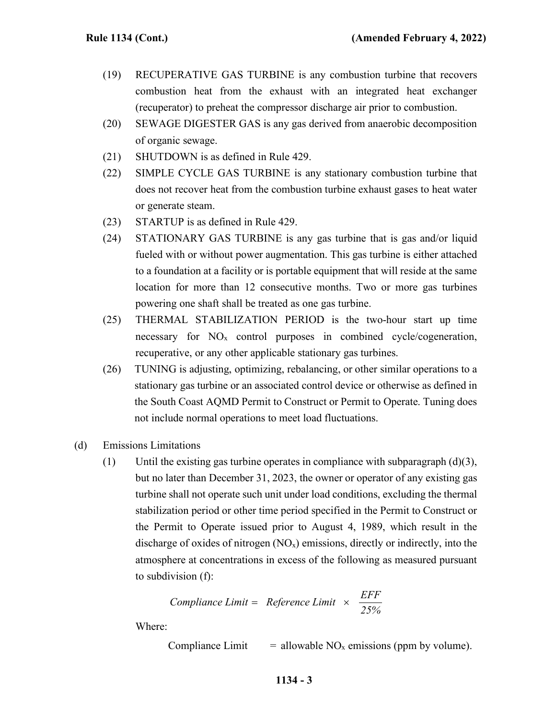- (19) RECUPERATIVE GAS TURBINE is any combustion turbine that recovers combustion heat from the exhaust with an integrated heat exchanger (recuperator) to preheat the compressor discharge air prior to combustion.
- (20) SEWAGE DIGESTER GAS is any gas derived from anaerobic decomposition of organic sewage.
- (21) SHUTDOWN is as defined in Rule 429.
- (22) SIMPLE CYCLE GAS TURBINE is any stationary combustion turbine that does not recover heat from the combustion turbine exhaust gases to heat water or generate steam.
- (23) STARTUP is as defined in Rule 429.
- (24) STATIONARY GAS TURBINE is any gas turbine that is gas and/or liquid fueled with or without power augmentation. This gas turbine is either attached to a foundation at a facility or is portable equipment that will reside at the same location for more than 12 consecutive months. Two or more gas turbines powering one shaft shall be treated as one gas turbine.
- (25) THERMAL STABILIZATION PERIOD is the two-hour start up time necessary for  $NO<sub>x</sub>$  control purposes in combined cycle/cogeneration, recuperative, or any other applicable stationary gas turbines.
- (26) TUNING is adjusting, optimizing, rebalancing, or other similar operations to a stationary gas turbine or an associated control device or otherwise as defined in the South Coast AQMD Permit to Construct or Permit to Operate. Tuning does not include normal operations to meet load fluctuations.
- (d) Emissions Limitations
	- (1) Until the existing gas turbine operates in compliance with subparagraph  $(d)(3)$ , but no later than December 31, 2023, the owner or operator of any existing gas turbine shall not operate such unit under load conditions, excluding the thermal stabilization period or other time period specified in the Permit to Construct or the Permit to Operate issued prior to August 4, 1989, which result in the discharge of oxides of nitrogen  $(NO<sub>x</sub>)$  emissions, directly or indirectly, into the atmosphere at concentrations in excess of the following as measured pursuant to subdivision (f):

$$
Compliance Limit = Reference Limit \times \frac{EFF}{25\%}
$$

Where:

Compliance Limit  $=$  allowable NO<sub>x</sub> emissions (ppm by volume).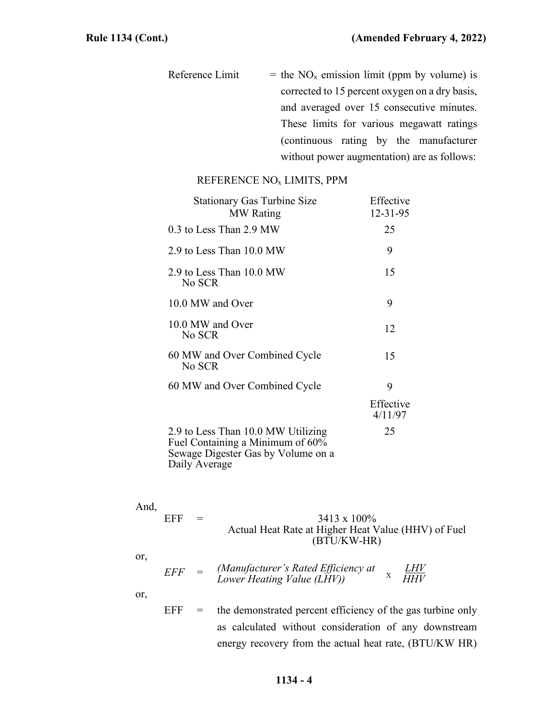Reference Limit  $=$  the NO<sub>x</sub> emission limit (ppm by volume) is corrected to 15 percent oxygen on a dry basis, and averaged over 15 consecutive minutes. These limits for various megawatt ratings (continuous rating by the manufacturer without power augmentation) are as follows:

## REFERENCE NOx LIMITS, PPM

| <b>Stationary Gas Turbine Size</b><br><b>MW</b> Rating                                                                        | Effective<br>$12 - 31 - 95$ |
|-------------------------------------------------------------------------------------------------------------------------------|-----------------------------|
| 0.3 to Less Than 2.9 MW                                                                                                       | 25                          |
| 2.9 to Less Than 10.0 MW                                                                                                      | 9                           |
| 2.9 to Less Than 10.0 MW<br>No SCR                                                                                            | 15                          |
| 10.0 MW and Over                                                                                                              | 9                           |
| 10.0 MW and Over<br>No SCR                                                                                                    | 12                          |
| 60 MW and Over Combined Cycle<br>No SCR                                                                                       | 15                          |
| 60 MW and Over Combined Cycle                                                                                                 | 9                           |
|                                                                                                                               | Effective<br>4/11/97        |
| 2.9 to Less Than 10.0 MW Utilizing<br>Fuel Containing a Minimum of 60%<br>Sewage Digester Gas by Volume on a<br>Daily Average | 25                          |

| And, |     |     |                                                     |
|------|-----|-----|-----------------------------------------------------|
|      | EFF | $=$ | $3413 \times 100\%$                                 |
|      |     |     | Actual Heat Rate at Higher Heat Value (HHV) of Fuel |
|      |     |     | $(BTU/KW-HR)$                                       |
|      |     |     |                                                     |

*EFF* = *(Manufacturer's Rated Efficiency at LHV Lower Heating Value (LHV)) HHV* X

or,

 $EFF =$  the demonstrated percent efficiency of the gas turbine only as calculated without consideration of any downstream energy recovery from the actual heat rate, (BTU/KW HR)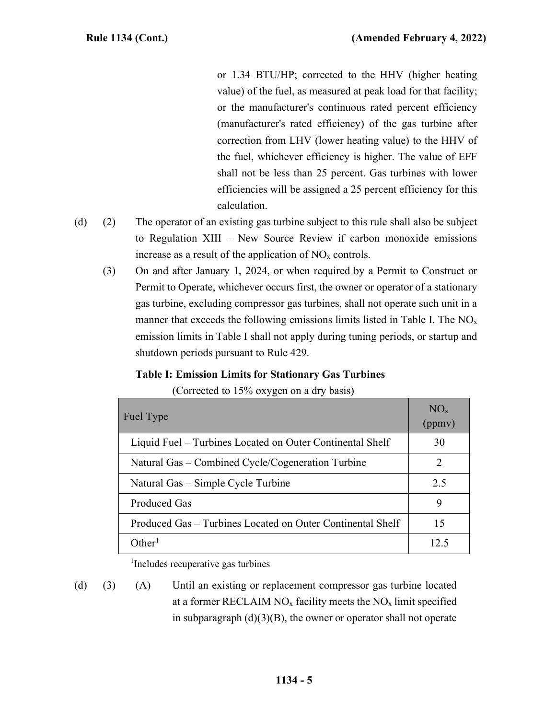or 1.34 BTU/HP; corrected to the HHV (higher heating value) of the fuel, as measured at peak load for that facility; or the manufacturer's continuous rated percent efficiency (manufacturer's rated efficiency) of the gas turbine after correction from LHV (lower heating value) to the HHV of the fuel, whichever efficiency is higher. The value of EFF shall not be less than 25 percent. Gas turbines with lower efficiencies will be assigned a 25 percent efficiency for this calculation.

- (d) (2) The operator of an existing gas turbine subject to this rule shall also be subject to Regulation XIII – New Source Review if carbon monoxide emissions increase as a result of the application of  $NO<sub>x</sub>$  controls.
	- (3) On and after January 1, 2024, or when required by a Permit to Construct or Permit to Operate, whichever occurs first, the owner or operator of a stationary gas turbine, excluding compressor gas turbines, shall not operate such unit in a manner that exceeds the following emissions limits listed in Table I. The  $NO<sub>x</sub>$ emission limits in Table I shall not apply during tuning periods, or startup and shutdown periods pursuant to Rule 429.

# **Table I: Emission Limits for Stationary Gas Turbines**

(Corrected to 15% oxygen on a dry basis)

| Fuel Type                                                  | $NO_{x}$<br>(ppmv) |
|------------------------------------------------------------|--------------------|
| Liquid Fuel – Turbines Located on Outer Continental Shelf  | 30                 |
| Natural Gas – Combined Cycle/Cogeneration Turbine          | 2                  |
| Natural Gas – Simple Cycle Turbine                         | 2.5                |
| Produced Gas                                               | 9                  |
| Produced Gas - Turbines Located on Outer Continental Shelf | 15                 |
| $\Omega$ ther $^1$                                         | 12.5               |

1 Includes recuperative gas turbines

(d) (3) (A) Until an existing or replacement compressor gas turbine located at a former RECLAIM  $NO<sub>x</sub>$  facility meets the  $NO<sub>x</sub>$  limit specified in subparagraph  $(d)(3)(B)$ , the owner or operator shall not operate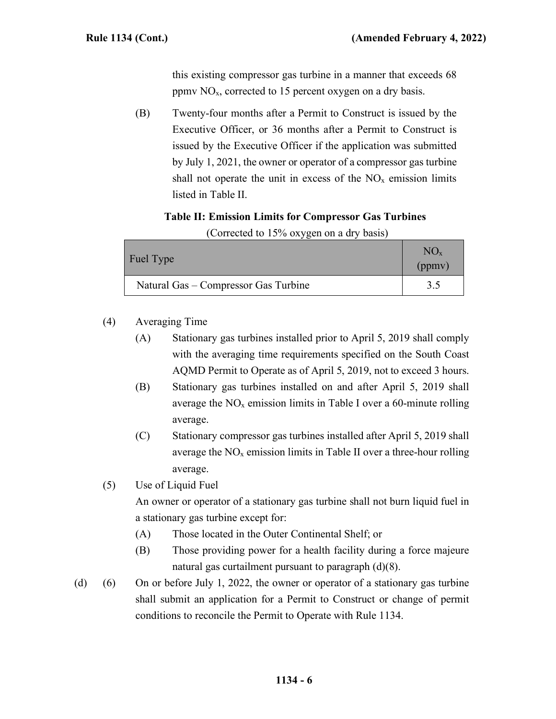this existing compressor gas turbine in a manner that exceeds 68 ppmv  $NO<sub>x</sub>$ , corrected to 15 percent oxygen on a dry basis.

(B) Twenty-four months after a Permit to Construct is issued by the Executive Officer, or 36 months after a Permit to Construct is issued by the Executive Officer if the application was submitted by July 1, 2021, the owner or operator of a compressor gas turbine shall not operate the unit in excess of the  $NO<sub>x</sub>$  emission limits listed in Table II.

# **Table II: Emission Limits for Compressor Gas Turbines**

| <b>Fuel Type</b>                     | $NO_{x}$<br>(ppmv) |  |
|--------------------------------------|--------------------|--|
| Natural Gas – Compressor Gas Turbine | 3.5                |  |

(Corrected to 15% oxygen on a dry basis)

- (4) Averaging Time
	- (A) Stationary gas turbines installed prior to April 5, 2019 shall comply with the averaging time requirements specified on the South Coast AQMD Permit to Operate as of April 5, 2019, not to exceed 3 hours.
	- (B) Stationary gas turbines installed on and after April 5, 2019 shall average the  $NO<sub>x</sub>$  emission limits in Table I over a 60-minute rolling average.
	- (C) Stationary compressor gas turbines installed after April 5, 2019 shall average the  $NO<sub>x</sub>$  emission limits in Table II over a three-hour rolling average.
- (5) Use of Liquid Fuel

An owner or operator of a stationary gas turbine shall not burn liquid fuel in a stationary gas turbine except for:

- (A) Those located in the Outer Continental Shelf; or
- (B) Those providing power for a health facility during a force majeure natural gas curtailment pursuant to paragraph (d)(8).
- (d) (6) On or before July 1, 2022, the owner or operator of a stationary gas turbine shall submit an application for a Permit to Construct or change of permit conditions to reconcile the Permit to Operate with Rule 1134.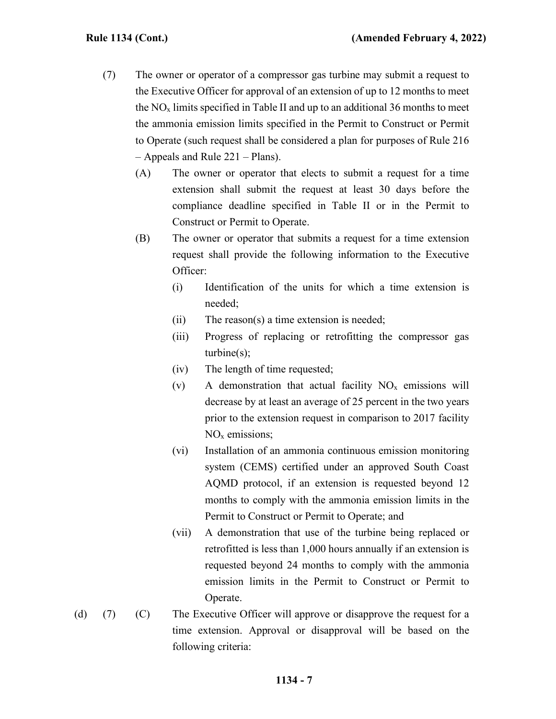- (7) The owner or operator of a compressor gas turbine may submit a request to the Executive Officer for approval of an extension of up to 12 months to meet the  $NO<sub>x</sub>$  limits specified in Table II and up to an additional 36 months to meet the ammonia emission limits specified in the Permit to Construct or Permit to Operate (such request shall be considered a plan for purposes of Rule 216 – Appeals and Rule 221 – Plans).
	- (A) The owner or operator that elects to submit a request for a time extension shall submit the request at least 30 days before the compliance deadline specified in Table II or in the Permit to Construct or Permit to Operate.
	- (B) The owner or operator that submits a request for a time extension request shall provide the following information to the Executive Officer:
		- (i) Identification of the units for which a time extension is needed;
		- (ii) The reason(s) a time extension is needed;
		- (iii) Progress of replacing or retrofitting the compressor gas turbine(s);
		- (iv) The length of time requested;
		- (v) A demonstration that actual facility  $NO<sub>x</sub>$  emissions will decrease by at least an average of 25 percent in the two years prior to the extension request in comparison to 2017 facility NO<sub>x</sub> emissions;
		- (vi) Installation of an ammonia continuous emission monitoring system (CEMS) certified under an approved South Coast AQMD protocol, if an extension is requested beyond 12 months to comply with the ammonia emission limits in the Permit to Construct or Permit to Operate; and
		- (vii) A demonstration that use of the turbine being replaced or retrofitted is less than 1,000 hours annually if an extension is requested beyond 24 months to comply with the ammonia emission limits in the Permit to Construct or Permit to Operate.
- (d) (7) (C) The Executive Officer will approve or disapprove the request for a time extension. Approval or disapproval will be based on the following criteria:

## **1134 - 7**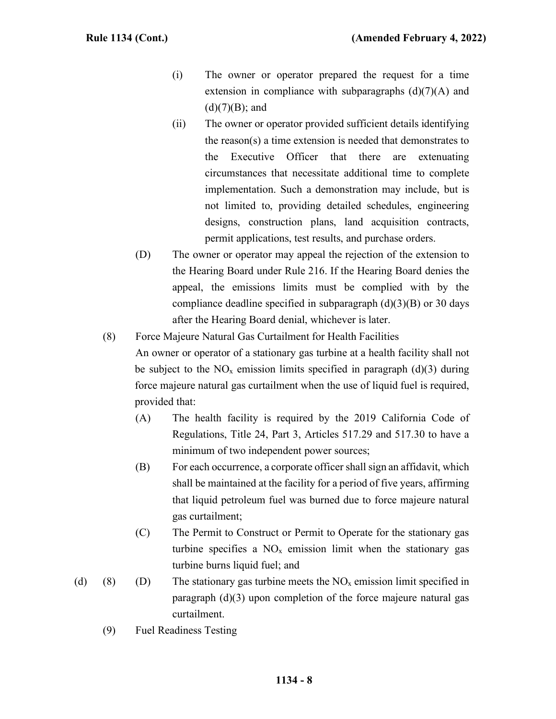- (i) The owner or operator prepared the request for a time extension in compliance with subparagraphs  $(d)(7)(A)$  and  $(d)(7)(B)$ ; and
- (ii) The owner or operator provided sufficient details identifying the reason(s) a time extension is needed that demonstrates to the Executive Officer that there are extenuating circumstances that necessitate additional time to complete implementation. Such a demonstration may include, but is not limited to, providing detailed schedules, engineering designs, construction plans, land acquisition contracts, permit applications, test results, and purchase orders.
- (D) The owner or operator may appeal the rejection of the extension to the Hearing Board under Rule 216. If the Hearing Board denies the appeal, the emissions limits must be complied with by the compliance deadline specified in subparagraph  $(d)(3)(B)$  or 30 days after the Hearing Board denial, whichever is later.
- (8) Force Majeure Natural Gas Curtailment for Health Facilities An owner or operator of a stationary gas turbine at a health facility shall not be subject to the  $NO<sub>x</sub>$  emission limits specified in paragraph (d)(3) during force majeure natural gas curtailment when the use of liquid fuel is required, provided that:
	- (A) The health facility is required by the 2019 California Code of Regulations, Title 24, Part 3, Articles 517.29 and 517.30 to have a minimum of two independent power sources;
	- (B) For each occurrence, a corporate officer shall sign an affidavit, which shall be maintained at the facility for a period of five years, affirming that liquid petroleum fuel was burned due to force majeure natural gas curtailment;
	- (C) The Permit to Construct or Permit to Operate for the stationary gas turbine specifies a  $NO<sub>x</sub>$  emission limit when the stationary gas turbine burns liquid fuel; and
- (d) (8) (D) The stationary gas turbine meets the  $NO<sub>x</sub>$  emission limit specified in paragraph (d)(3) upon completion of the force majeure natural gas curtailment.
	- (9) Fuel Readiness Testing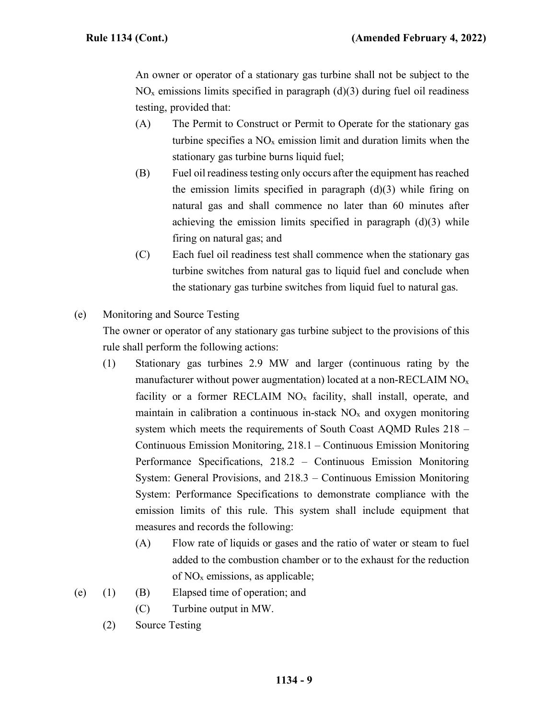An owner or operator of a stationary gas turbine shall not be subject to the  $NO<sub>x</sub>$  emissions limits specified in paragraph (d)(3) during fuel oil readiness testing, provided that:

- (A) The Permit to Construct or Permit to Operate for the stationary gas turbine specifies a  $NO<sub>x</sub>$  emission limit and duration limits when the stationary gas turbine burns liquid fuel;
- (B) Fuel oil readiness testing only occurs after the equipment has reached the emission limits specified in paragraph  $(d)(3)$  while firing on natural gas and shall commence no later than 60 minutes after achieving the emission limits specified in paragraph  $(d)(3)$  while firing on natural gas; and
- (C) Each fuel oil readiness test shall commence when the stationary gas turbine switches from natural gas to liquid fuel and conclude when the stationary gas turbine switches from liquid fuel to natural gas.
- (e) Monitoring and Source Testing

The owner or operator of any stationary gas turbine subject to the provisions of this rule shall perform the following actions:

- (1) Stationary gas turbines 2.9 MW and larger (continuous rating by the manufacturer without power augmentation) located at a non-RECLAIM  $NO<sub>x</sub>$ facility or a former RECLAIM  $NO<sub>x</sub>$  facility, shall install, operate, and maintain in calibration a continuous in-stack  $NO<sub>x</sub>$  and oxygen monitoring system which meets the requirements of South Coast AQMD Rules 218 – Continuous Emission Monitoring, 218.1 – Continuous Emission Monitoring Performance Specifications, 218.2 – Continuous Emission Monitoring System: General Provisions, and 218.3 – Continuous Emission Monitoring System: Performance Specifications to demonstrate compliance with the emission limits of this rule. This system shall include equipment that measures and records the following:
	- (A) Flow rate of liquids or gases and the ratio of water or steam to fuel added to the combustion chamber or to the exhaust for the reduction of  $NO<sub>x</sub>$  emissions, as applicable;
- (e) (1) (B) Elapsed time of operation; and
	- (C) Turbine output in MW.
	- (2) Source Testing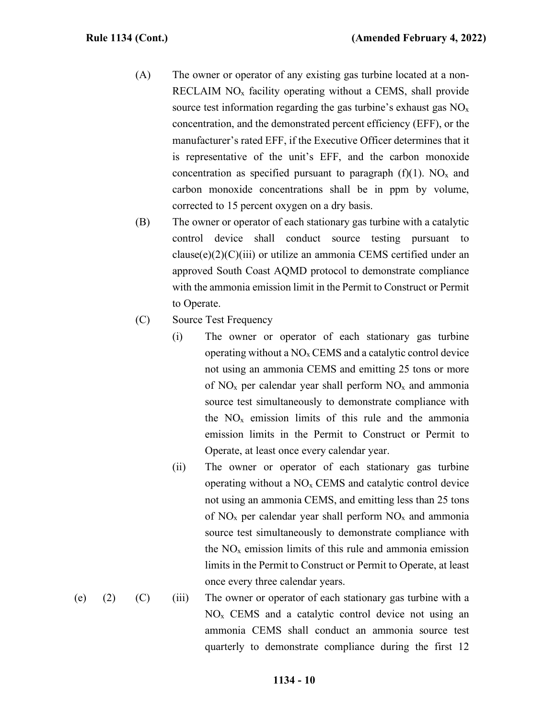- (A) The owner or operator of any existing gas turbine located at a non-RECLAIM  $NO<sub>x</sub>$  facility operating without a CEMS, shall provide source test information regarding the gas turbine's exhaust gas  $NO<sub>x</sub>$ concentration, and the demonstrated percent efficiency (EFF), or the manufacturer's rated EFF, if the Executive Officer determines that it is representative of the unit's EFF, and the carbon monoxide concentration as specified pursuant to paragraph  $(f)(1)$ . NO<sub>x</sub> and carbon monoxide concentrations shall be in ppm by volume, corrected to 15 percent oxygen on a dry basis.
- (B) The owner or operator of each stationary gas turbine with a catalytic control device shall conduct source testing pursuant to  $clause(e)(2)(C)(iii)$  or utilize an ammonia CEMS certified under an approved South Coast AQMD protocol to demonstrate compliance with the ammonia emission limit in the Permit to Construct or Permit to Operate.
- (C) Source Test Frequency
	- (i) The owner or operator of each stationary gas turbine operating without a  $NO<sub>x</sub>$  CEMS and a catalytic control device not using an ammonia CEMS and emitting 25 tons or more of  $NO<sub>x</sub>$  per calendar year shall perform  $NO<sub>x</sub>$  and ammonia source test simultaneously to demonstrate compliance with the  $NO<sub>x</sub>$  emission limits of this rule and the ammonia emission limits in the Permit to Construct or Permit to Operate, at least once every calendar year.
	- (ii) The owner or operator of each stationary gas turbine operating without a  $NO<sub>x</sub>$  CEMS and catalytic control device not using an ammonia CEMS, and emitting less than 25 tons of  $NO<sub>x</sub>$  per calendar year shall perform  $NO<sub>x</sub>$  and ammonia source test simultaneously to demonstrate compliance with the  $NO<sub>x</sub>$  emission limits of this rule and ammonia emission limits in the Permit to Construct or Permit to Operate, at least once every three calendar years.
- (e) (2) (C) (iii) The owner or operator of each stationary gas turbine with a  $NO<sub>x</sub>$  CEMS and a catalytic control device not using an ammonia CEMS shall conduct an ammonia source test quarterly to demonstrate compliance during the first 12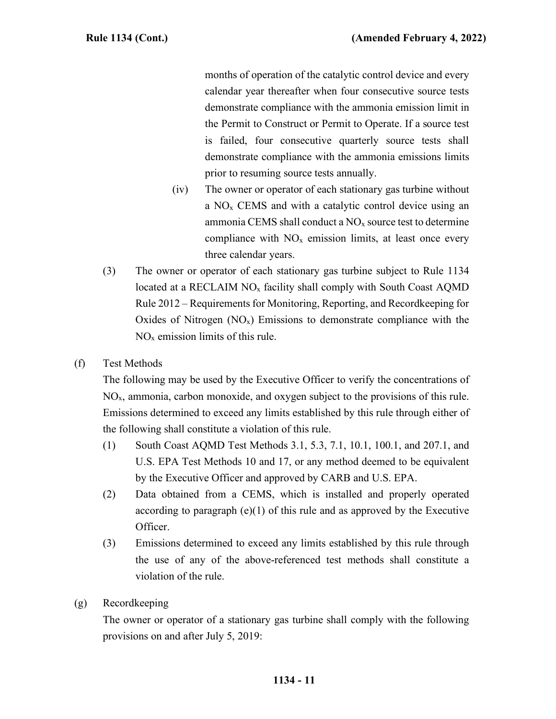months of operation of the catalytic control device and every calendar year thereafter when four consecutive source tests demonstrate compliance with the ammonia emission limit in the Permit to Construct or Permit to Operate. If a source test is failed, four consecutive quarterly source tests shall demonstrate compliance with the ammonia emissions limits prior to resuming source tests annually.

- (iv) The owner or operator of each stationary gas turbine without a  $NO<sub>x</sub>$  CEMS and with a catalytic control device using an ammonia CEMS shall conduct a  $NO<sub>x</sub>$  source test to determine compliance with  $NO<sub>x</sub>$  emission limits, at least once every three calendar years.
- (3) The owner or operator of each stationary gas turbine subject to Rule 1134 located at a RECLAIM  $NO<sub>x</sub>$  facility shall comply with South Coast AQMD Rule 2012 – Requirements for Monitoring, Reporting, and Recordkeeping for Oxides of Nitrogen  $(NO_x)$  Emissions to demonstrate compliance with the  $NO<sub>x</sub>$  emission limits of this rule.
- (f) Test Methods

The following may be used by the Executive Officer to verify the concentrations of NOx, ammonia, carbon monoxide, and oxygen subject to the provisions of this rule. Emissions determined to exceed any limits established by this rule through either of the following shall constitute a violation of this rule.

- (1) South Coast AQMD Test Methods 3.1, 5.3, 7.1, 10.1, 100.1, and 207.1, and U.S. EPA Test Methods 10 and 17, or any method deemed to be equivalent by the Executive Officer and approved by CARB and U.S. EPA.
- (2) Data obtained from a CEMS, which is installed and properly operated according to paragraph  $(e)(1)$  of this rule and as approved by the Executive Officer.
- (3) Emissions determined to exceed any limits established by this rule through the use of any of the above-referenced test methods shall constitute a violation of the rule.
- (g) Recordkeeping

The owner or operator of a stationary gas turbine shall comply with the following provisions on and after July 5, 2019: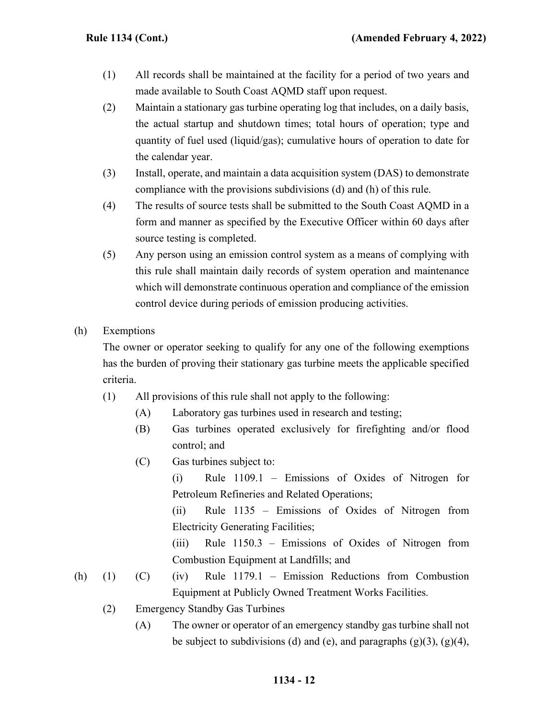- (1) All records shall be maintained at the facility for a period of two years and made available to South Coast AQMD staff upon request.
- (2) Maintain a stationary gas turbine operating log that includes, on a daily basis, the actual startup and shutdown times; total hours of operation; type and quantity of fuel used (liquid/gas); cumulative hours of operation to date for the calendar year.
- (3) Install, operate, and maintain a data acquisition system (DAS) to demonstrate compliance with the provisions subdivisions (d) and (h) of this rule.
- (4) The results of source tests shall be submitted to the South Coast AQMD in a form and manner as specified by the Executive Officer within 60 days after source testing is completed.
- (5) Any person using an emission control system as a means of complying with this rule shall maintain daily records of system operation and maintenance which will demonstrate continuous operation and compliance of the emission control device during periods of emission producing activities.
- (h) Exemptions

The owner or operator seeking to qualify for any one of the following exemptions has the burden of proving their stationary gas turbine meets the applicable specified criteria.

- (1) All provisions of this rule shall not apply to the following:
	- (A) Laboratory gas turbines used in research and testing;
	- (B) Gas turbines operated exclusively for firefighting and/or flood control; and
	- (C) Gas turbines subject to:

(i) Rule 1109.1 – Emissions of Oxides of Nitrogen for Petroleum Refineries and Related Operations;

(ii) Rule 1135 – Emissions of Oxides of Nitrogen from Electricity Generating Facilities;

(iii) Rule 1150.3 – Emissions of Oxides of Nitrogen from Combustion Equipment at Landfills; and

- (h) (1) (C) (iv) Rule 1179.1 Emission Reductions from Combustion Equipment at Publicly Owned Treatment Works Facilities.
	- (2) Emergency Standby Gas Turbines
		- (A) The owner or operator of an emergency standby gas turbine shall not be subject to subdivisions (d) and (e), and paragraphs  $(g)(3)$ ,  $(g)(4)$ ,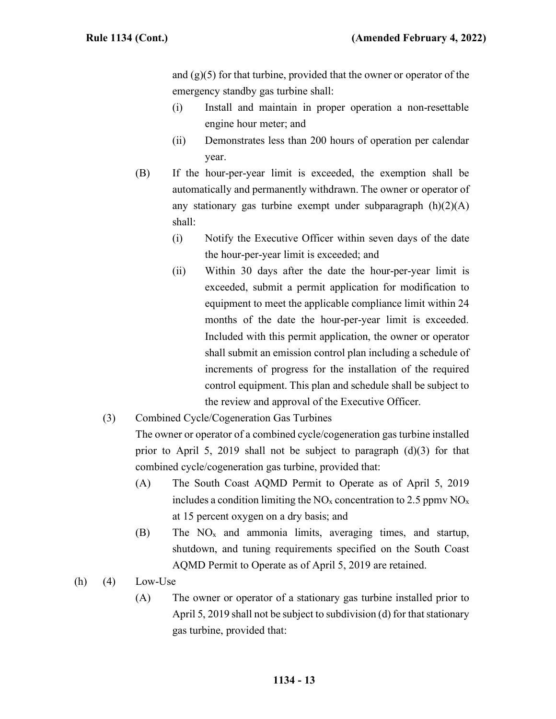and  $(g)(5)$  for that turbine, provided that the owner or operator of the emergency standby gas turbine shall:

- (i) Install and maintain in proper operation a non-resettable engine hour meter; and
- (ii) Demonstrates less than 200 hours of operation per calendar year.
- (B) If the hour-per-year limit is exceeded, the exemption shall be automatically and permanently withdrawn. The owner or operator of any stationary gas turbine exempt under subparagraph  $(h)(2)(A)$ shall:
	- (i) Notify the Executive Officer within seven days of the date the hour-per-year limit is exceeded; and
	- (ii) Within 30 days after the date the hour-per-year limit is exceeded, submit a permit application for modification to equipment to meet the applicable compliance limit within 24 months of the date the hour-per-year limit is exceeded. Included with this permit application, the owner or operator shall submit an emission control plan including a schedule of increments of progress for the installation of the required control equipment. This plan and schedule shall be subject to the review and approval of the Executive Officer.
- (3) Combined Cycle/Cogeneration Gas Turbines

The owner or operator of a combined cycle/cogeneration gas turbine installed prior to April 5, 2019 shall not be subject to paragraph (d)(3) for that combined cycle/cogeneration gas turbine, provided that:

- (A) The South Coast AQMD Permit to Operate as of April 5, 2019 includes a condition limiting the  $NO_x$  concentration to 2.5 ppmv  $NO_x$ at 15 percent oxygen on a dry basis; and
- $(B)$  The NO<sub>x</sub> and ammonia limits, averaging times, and startup, shutdown, and tuning requirements specified on the South Coast AQMD Permit to Operate as of April 5, 2019 are retained.
- $(h)$  (4) Low-Use
	- (A) The owner or operator of a stationary gas turbine installed prior to April 5, 2019 shall not be subject to subdivision (d) for that stationary gas turbine, provided that: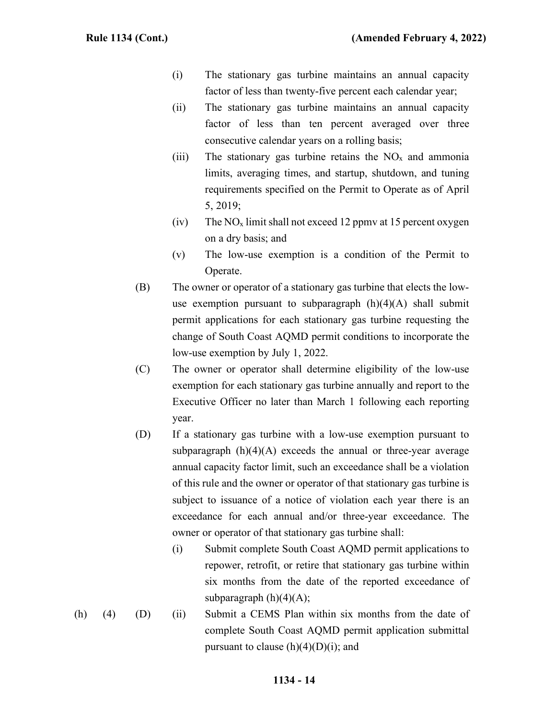- (i) The stationary gas turbine maintains an annual capacity factor of less than twenty-five percent each calendar year;
- (ii) The stationary gas turbine maintains an annual capacity factor of less than ten percent averaged over three consecutive calendar years on a rolling basis;
- (iii) The stationary gas turbine retains the  $NO<sub>x</sub>$  and ammonia limits, averaging times, and startup, shutdown, and tuning requirements specified on the Permit to Operate as of April 5, 2019;
- (iv) The  $NO_x$  limit shall not exceed 12 ppmv at 15 percent oxygen on a dry basis; and
- (v) The low-use exemption is a condition of the Permit to Operate.
- (B) The owner or operator of a stationary gas turbine that elects the lowuse exemption pursuant to subparagraph  $(h)(4)(A)$  shall submit permit applications for each stationary gas turbine requesting the change of South Coast AQMD permit conditions to incorporate the low-use exemption by July 1, 2022.
- (C) The owner or operator shall determine eligibility of the low-use exemption for each stationary gas turbine annually and report to the Executive Officer no later than March 1 following each reporting year.
- (D) If a stationary gas turbine with a low-use exemption pursuant to subparagraph  $(h)(4)(A)$  exceeds the annual or three-year average annual capacity factor limit, such an exceedance shall be a violation of this rule and the owner or operator of that stationary gas turbine is subject to issuance of a notice of violation each year there is an exceedance for each annual and/or three-year exceedance. The owner or operator of that stationary gas turbine shall:
	- (i) Submit complete South Coast AQMD permit applications to repower, retrofit, or retire that stationary gas turbine within six months from the date of the reported exceedance of subparagraph  $(h)(4)(A);$
- (h) (4) (D) (ii) Submit a CEMS Plan within six months from the date of complete South Coast AQMD permit application submittal pursuant to clause  $(h)(4)(D)(i)$ ; and

# **1134 - 14**